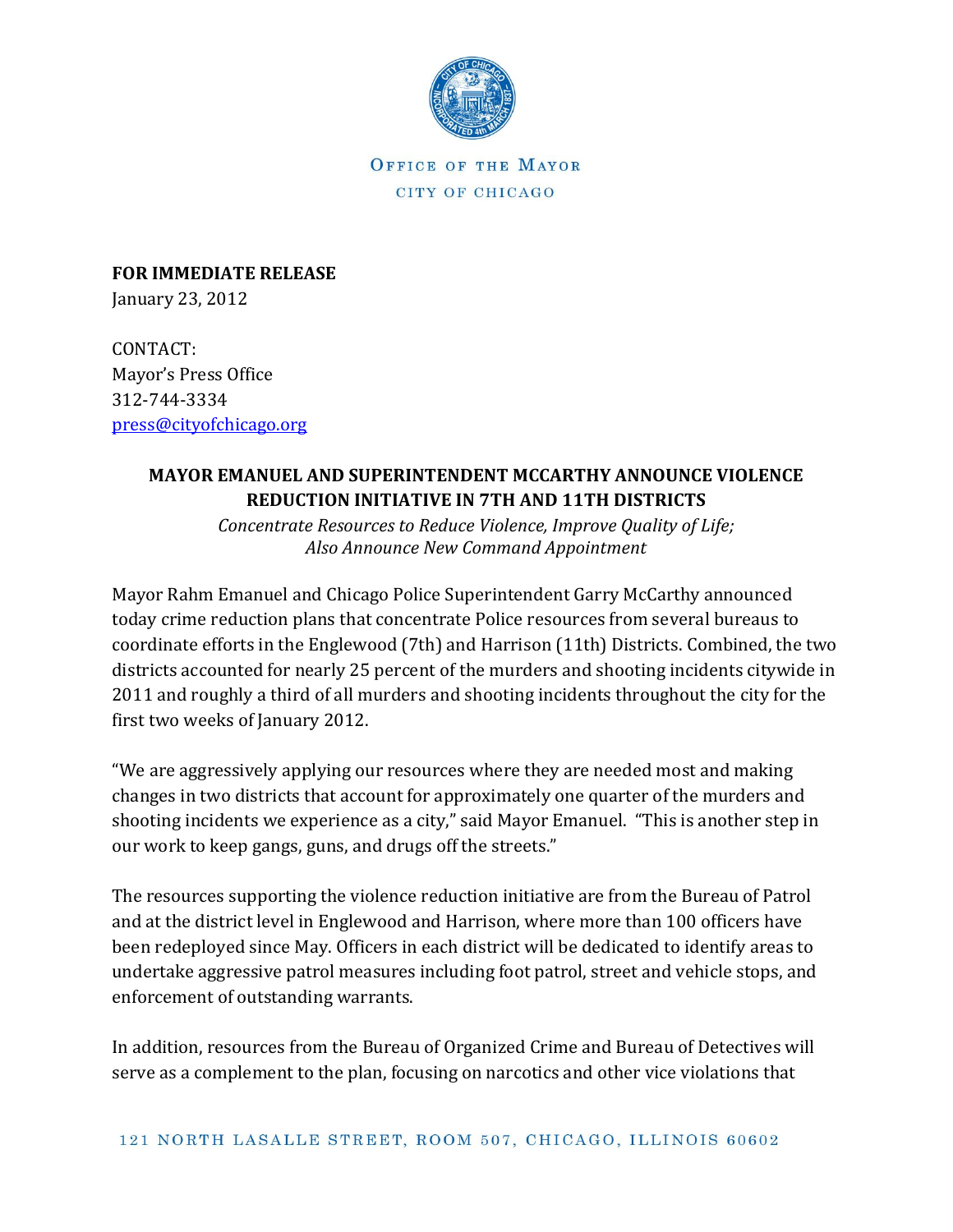

OFFICE OF THE MAYOR CITY OF CHICAGO

**FOR IMMEDIATE RELEASE**  January 23, 2012

CONTACT: Mayor's Press Office 312-744-3334 [press@cityofchicago.org](mailto:press@cityofchicago.org)

## **MAYOR EMANUEL AND SUPERINTENDENT MCCARTHY ANNOUNCE VIOLENCE REDUCTION INITIATIVE IN 7TH AND 11TH DISTRICTS**

*Concentrate Resources to Reduce Violence, Improve Quality of Life; Also Announce New Command Appointment*

Mayor Rahm Emanuel and Chicago Police Superintendent Garry McCarthy announced today crime reduction plans that concentrate Police resources from several bureaus to coordinate efforts in the Englewood (7th) and Harrison (11th) Districts. Combined, the two districts accounted for nearly 25 percent of the murders and shooting incidents citywide in 2011 and roughly a third of all murders and shooting incidents throughout the city for the first two weeks of January 2012.

"We are aggressively applying our resources where they are needed most and making changes in two districts that account for approximately one quarter of the murders and shooting incidents we experience as a city," said Mayor Emanuel. "This is another step in our work to keep gangs, guns, and drugs off the streets."

The resources supporting the violence reduction initiative are from the Bureau of Patrol and at the district level in Englewood and Harrison, where more than 100 officers have been redeployed since May. Officers in each district will be dedicated to identify areas to undertake aggressive patrol measures including foot patrol, street and vehicle stops, and enforcement of outstanding warrants.

In addition, resources from the Bureau of Organized Crime and Bureau of Detectives will serve as a complement to the plan, focusing on narcotics and other vice violations that